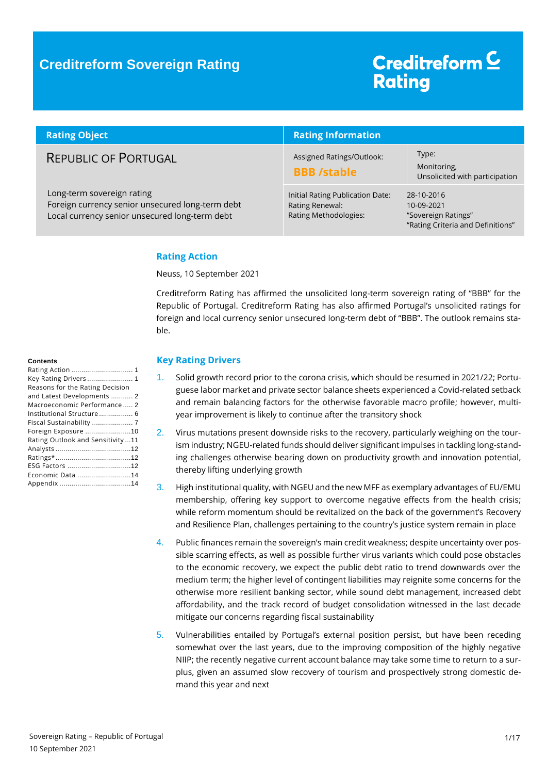### **Creditreform Sovereign Rating**

# Creditreform<sup>C</sup> **Rating**

| <b>Rating Object</b>                                                                                                             | <b>Rating Information</b>                                                    |                                                                                      |
|----------------------------------------------------------------------------------------------------------------------------------|------------------------------------------------------------------------------|--------------------------------------------------------------------------------------|
| <b>REPUBLIC OF PORTUGAL</b>                                                                                                      | Assigned Ratings/Outlook:<br><b>BBB</b> /stable                              | Type:<br>Monitoring,<br>Unsolicited with participation                               |
| Long-term sovereign rating<br>Foreign currency senior unsecured long-term debt<br>Local currency senior unsecured long-term debt | Initial Rating Publication Date:<br>Rating Renewal:<br>Rating Methodologies: | 28-10-2016<br>10-09-2021<br>"Sovereign Ratings"<br>"Rating Criteria and Definitions" |

#### <span id="page-0-0"></span>**Rating Action**

Neuss, 10 September 2021

Creditreform Rating has affirmed the unsolicited long-term sovereign rating of "BBB" for the Republic of Portugal. Creditreform Rating has also affirmed Portugal's unsolicited ratings for foreign and local currency senior unsecured long-term debt of "BBB". The outlook remains stable.

#### <span id="page-0-1"></span>**Key Rating Drivers**

- 1. Solid growth record prior to the corona crisis, which should be resumed in 2021/22; Portuguese labor market and private sector balance sheets experienced a Covid-related setback and remain balancing factors for the otherwise favorable macro profile; however, multiyear improvement is likely to continue after the transitory shock
- 2. Virus mutations present downside risks to the recovery, particularly weighing on the tourism industry; NGEU-related funds should deliver significant impulses in tackling long-standing challenges otherwise bearing down on productivity growth and innovation potential, thereby lifting underlying growth
- 3. High institutional quality, with NGEU and the new MFF as exemplary advantages of EU/EMU membership, offering key support to overcome negative effects from the health crisis; while reform momentum should be revitalized on the back of the government's Recovery and Resilience Plan, challenges pertaining to the country's justice system remain in place
- 4. Public finances remain the sovereign's main credit weakness; despite uncertainty over possible scarring effects, as well as possible further virus variants which could pose obstacles to the economic recovery, we expect the public debt ratio to trend downwards over the medium term; the higher level of contingent liabilities may reignite some concerns for the otherwise more resilient banking sector, while sound debt management, increased debt affordability, and the track record of budget consolidation witnessed in the last decade mitigate our concerns regarding fiscal sustainability
- 5. Vulnerabilities entailed by Portugal's external position persist, but have been receding somewhat over the last years, due to the improving composition of the highly negative NIIP; the recently negative current account balance may take some time to return to a surplus, given an assumed slow recovery of tourism and prospectively strong domestic demand this year and next

#### **Contents**

| Rating Action  1                 |
|----------------------------------|
| Key Rating Drivers  1            |
| Reasons for the Rating Decision  |
| and Latest Developments  2       |
| Macroeconomic Performance 2      |
| Institutional Structure 6        |
| Fiscal Sustainability 7          |
| Foreign Exposure 10              |
| Rating Outlook and Sensitivity11 |
|                                  |
|                                  |
| ESG Factors 12                   |
| Economic Data 14                 |
|                                  |
|                                  |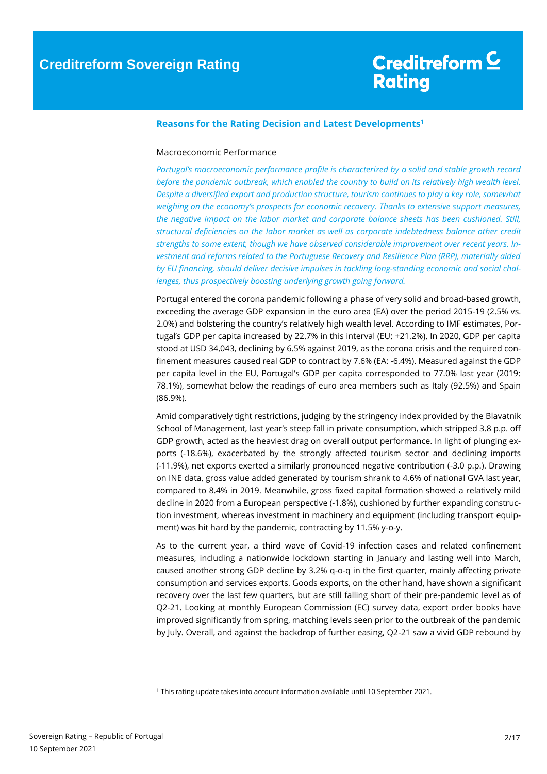#### <span id="page-1-0"></span>**Reasons for the Rating Decision and Latest Developments<sup>1</sup>**

#### <span id="page-1-1"></span>Macroeconomic Performance

*Portugal's macroeconomic performance profile is characterized by a solid and stable growth record before the pandemic outbreak, which enabled the country to build on its relatively high wealth level. Despite a diversified export and production structure, tourism continues to play a key role, somewhat weighing on the economy's prospects for economic recovery. Thanks to extensive support measures, the negative impact on the labor market and corporate balance sheets has been cushioned. Still, structural deficiencies on the labor market as well as corporate indebtedness balance other credit strengths to some extent, though we have observed considerable improvement over recent years. Investment and reforms related to the Portuguese Recovery and Resilience Plan (RRP), materially aided by EU financing, should deliver decisive impulses in tackling long-standing economic and social challenges, thus prospectively boosting underlying growth going forward.*

Portugal entered the corona pandemic following a phase of very solid and broad-based growth, exceeding the average GDP expansion in the euro area (EA) over the period 2015-19 (2.5% vs. 2.0%) and bolstering the country's relatively high wealth level. According to IMF estimates, Portugal's GDP per capita increased by 22.7% in this interval (EU: +21.2%). In 2020, GDP per capita stood at USD 34,043, declining by 6.5% against 2019, as the corona crisis and the required confinement measures caused real GDP to contract by 7.6% (EA: -6.4%). Measured against the GDP per capita level in the EU, Portugal's GDP per capita corresponded to 77.0% last year (2019: 78.1%), somewhat below the readings of euro area members such as Italy (92.5%) and Spain (86.9%).

Amid comparatively tight restrictions, judging by the stringency index provided by the Blavatnik School of Management, last year's steep fall in private consumption, which stripped 3.8 p.p. off GDP growth, acted as the heaviest drag on overall output performance. In light of plunging exports (-18.6%), exacerbated by the strongly affected tourism sector and declining imports (-11.9%), net exports exerted a similarly pronounced negative contribution (-3.0 p.p.). Drawing on INE data, gross value added generated by tourism shrank to 4.6% of national GVA last year, compared to 8.4% in 2019. Meanwhile, gross fixed capital formation showed a relatively mild decline in 2020 from a European perspective (-1.8%), cushioned by further expanding construction investment, whereas investment in machinery and equipment (including transport equipment) was hit hard by the pandemic, contracting by 11.5% y-o-y.

As to the current year, a third wave of Covid-19 infection cases and related confinement measures, including a nationwide lockdown starting in January and lasting well into March, caused another strong GDP decline by 3.2% q-o-q in the first quarter, mainly affecting private consumption and services exports. Goods exports, on the other hand, have shown a significant recovery over the last few quarters, but are still falling short of their pre-pandemic level as of Q2-21. Looking at monthly European Commission (EC) survey data, export order books have improved significantly from spring, matching levels seen prior to the outbreak of the pandemic by July. Overall, and against the backdrop of further easing, Q2-21 saw a vivid GDP rebound by

 $\overline{a}$ 

<sup>1</sup> This rating update takes into account information available until 10 September 2021.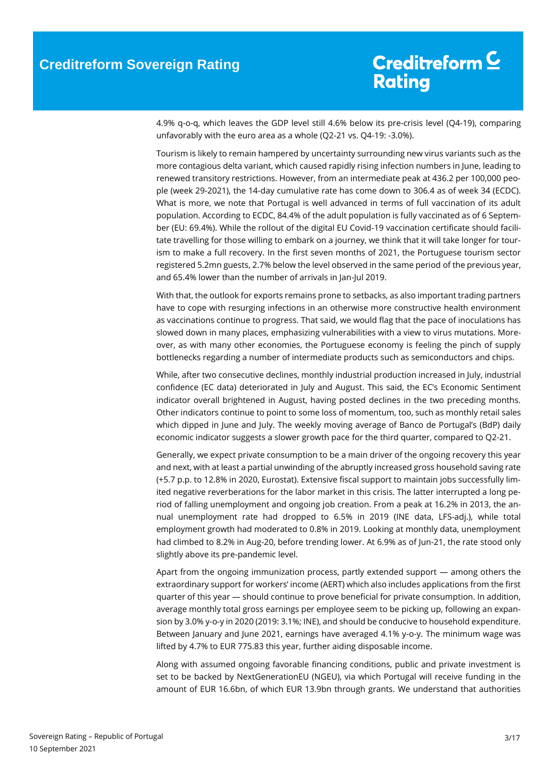4.9% q-o-q, which leaves the GDP level still 4.6% below its pre-crisis level (Q4-19), comparing unfavorably with the euro area as a whole (Q2-21 vs. Q4-19: -3.0%).

Tourism is likely to remain hampered by uncertainty surrounding new virus variants such as the more contagious delta variant, which caused rapidly rising infection numbers in June, leading to renewed transitory restrictions. However, from an intermediate peak at 436.2 per 100,000 people (week 29-2021), the 14-day cumulative rate has come down to 306.4 as of week 34 (ECDC). What is more, we note that Portugal is well advanced in terms of full vaccination of its adult population. According to ECDC, 84.4% of the adult population is fully vaccinated as of 6 September (EU: 69.4%). While the rollout of the digital EU Covid-19 vaccination certificate should facilitate travelling for those willing to embark on a journey, we think that it will take longer for tourism to make a full recovery. In the first seven months of 2021, the Portuguese tourism sector registered 5.2mn guests, 2.7% below the level observed in the same period of the previous year, and 65.4% lower than the number of arrivals in Jan-Jul 2019.

With that, the outlook for exports remains prone to setbacks, as also important trading partners have to cope with resurging infections in an otherwise more constructive health environment as vaccinations continue to progress. That said, we would flag that the pace of inoculations has slowed down in many places, emphasizing vulnerabilities with a view to virus mutations. Moreover, as with many other economies, the Portuguese economy is feeling the pinch of supply bottlenecks regarding a number of intermediate products such as semiconductors and chips.

While, after two consecutive declines, monthly industrial production increased in July, industrial confidence (EC data) deteriorated in July and August. This said, the EC's Economic Sentiment indicator overall brightened in August, having posted declines in the two preceding months. Other indicators continue to point to some loss of momentum, too, such as monthly retail sales which dipped in June and July. The weekly moving average of Banco de Portugal's (BdP) daily economic indicator suggests a slower growth pace for the third quarter, compared to Q2-21.

Generally, we expect private consumption to be a main driver of the ongoing recovery this year and next, with at least a partial unwinding of the abruptly increased gross household saving rate (+5.7 p.p. to 12.8% in 2020, Eurostat). Extensive fiscal support to maintain jobs successfully limited negative reverberations for the labor market in this crisis. The latter interrupted a long period of falling unemployment and ongoing job creation. From a peak at 16.2% in 2013, the annual unemployment rate had dropped to 6.5% in 2019 (INE data, LFS-adj.), while total employment growth had moderated to 0.8% in 2019. Looking at monthly data, unemployment had climbed to 8.2% in Aug-20, before trending lower. At 6.9% as of Jun-21, the rate stood only slightly above its pre-pandemic level.

Apart from the ongoing immunization process, partly extended support — among others the extraordinary support for workers' income (AERT) which also includes applications from the first quarter of this year — should continue to prove beneficial for private consumption. In addition, average monthly total gross earnings per employee seem to be picking up, following an expansion by 3.0% y-o-y in 2020 (2019: 3.1%; INE), and should be conducive to household expenditure. Between January and June 2021, earnings have averaged 4.1% y-o-y. The minimum wage was lifted by 4.7% to EUR 775.83 this year, further aiding disposable income.

Along with assumed ongoing favorable financing conditions, public and private investment is set to be backed by NextGenerationEU (NGEU), via which Portugal will receive funding in the amount of EUR 16.6bn, of which EUR 13.9bn through grants. We understand that authorities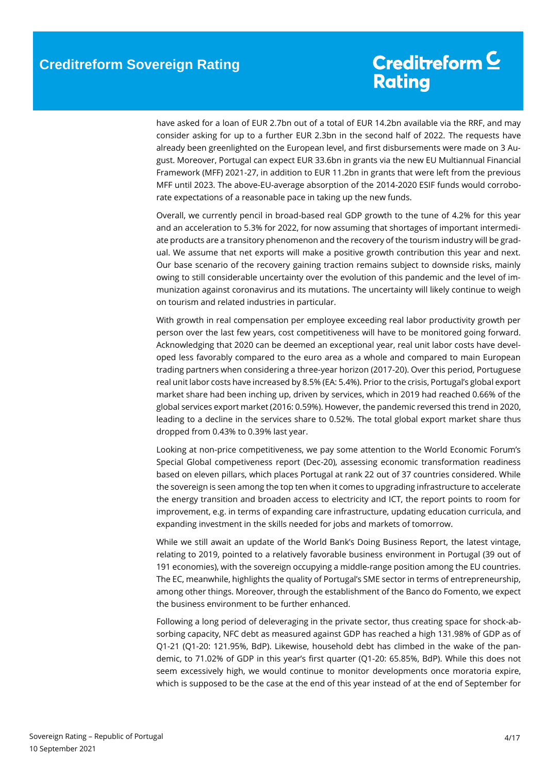have asked for a loan of EUR 2.7bn out of a total of EUR 14.2bn available via the RRF, and may consider asking for up to a further EUR 2.3bn in the second half of 2022. The requests have already been greenlighted on the European level, and first disbursements were made on 3 August. Moreover, Portugal can expect EUR 33.6bn in grants via the new EU Multiannual Financial Framework (MFF) 2021-27, in addition to EUR 11.2bn in grants that were left from the previous MFF until 2023. The above-EU-average absorption of the 2014-2020 ESIF funds would corroborate expectations of a reasonable pace in taking up the new funds.

Overall, we currently pencil in broad-based real GDP growth to the tune of 4.2% for this year and an acceleration to 5.3% for 2022, for now assuming that shortages of important intermediate products are a transitory phenomenon and the recovery of the tourism industry will be gradual. We assume that net exports will make a positive growth contribution this year and next. Our base scenario of the recovery gaining traction remains subject to downside risks, mainly owing to still considerable uncertainty over the evolution of this pandemic and the level of immunization against coronavirus and its mutations. The uncertainty will likely continue to weigh on tourism and related industries in particular.

With growth in real compensation per employee exceeding real labor productivity growth per person over the last few years, cost competitiveness will have to be monitored going forward. Acknowledging that 2020 can be deemed an exceptional year, real unit labor costs have developed less favorably compared to the euro area as a whole and compared to main European trading partners when considering a three-year horizon (2017-20). Over this period, Portuguese real unit labor costs have increased by 8.5% (EA: 5.4%). Prior to the crisis, Portugal's global export market share had been inching up, driven by services, which in 2019 had reached 0.66% of the global services export market (2016: 0.59%). However, the pandemic reversed this trend in 2020, leading to a decline in the services share to 0.52%. The total global export market share thus dropped from 0.43% to 0.39% last year.

Looking at non-price competitiveness, we pay some attention to the World Economic Forum's Special Global competiveness report (Dec-20), assessing economic transformation readiness based on eleven pillars, which places Portugal at rank 22 out of 37 countries considered. While the sovereign is seen among the top ten when it comes to upgrading infrastructure to accelerate the energy transition and broaden access to electricity and ICT, the report points to room for improvement, e.g. in terms of expanding care infrastructure, updating education curricula, and expanding investment in the skills needed for jobs and markets of tomorrow.

While we still await an update of the World Bank's Doing Business Report, the latest vintage, relating to 2019, pointed to a relatively favorable business environment in Portugal (39 out of 191 economies), with the sovereign occupying a middle-range position among the EU countries. The EC, meanwhile, highlights the quality of Portugal's SME sector in terms of entrepreneurship, among other things. Moreover, through the establishment of the Banco do Fomento, we expect the business environment to be further enhanced.

Following a long period of deleveraging in the private sector, thus creating space for shock-absorbing capacity, NFC debt as measured against GDP has reached a high 131.98% of GDP as of Q1-21 (Q1-20: 121.95%, BdP). Likewise, household debt has climbed in the wake of the pandemic, to 71.02% of GDP in this year's first quarter (Q1-20: 65.85%, BdP). While this does not seem excessively high, we would continue to monitor developments once moratoria expire, which is supposed to be the case at the end of this year instead of at the end of September for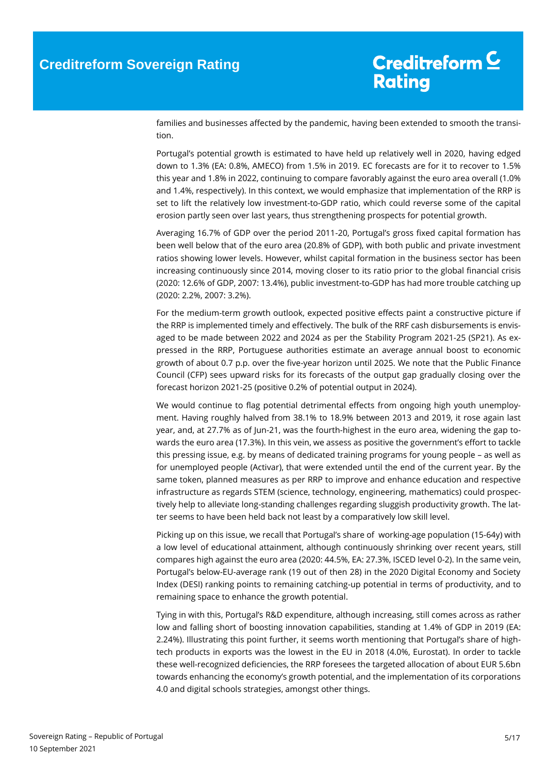families and businesses affected by the pandemic, having been extended to smooth the transition.

Portugal's potential growth is estimated to have held up relatively well in 2020, having edged down to 1.3% (EA: 0.8%, AMECO) from 1.5% in 2019. EC forecasts are for it to recover to 1.5% this year and 1.8% in 2022, continuing to compare favorably against the euro area overall (1.0% and 1.4%, respectively). In this context, we would emphasize that implementation of the RRP is set to lift the relatively low investment-to-GDP ratio, which could reverse some of the capital erosion partly seen over last years, thus strengthening prospects for potential growth.

Averaging 16.7% of GDP over the period 2011-20, Portugal's gross fixed capital formation has been well below that of the euro area (20.8% of GDP), with both public and private investment ratios showing lower levels. However, whilst capital formation in the business sector has been increasing continuously since 2014, moving closer to its ratio prior to the global financial crisis (2020: 12.6% of GDP, 2007: 13.4%), public investment-to-GDP has had more trouble catching up (2020: 2.2%, 2007: 3.2%).

For the medium-term growth outlook, expected positive effects paint a constructive picture if the RRP is implemented timely and effectively. The bulk of the RRF cash disbursements is envisaged to be made between 2022 and 2024 as per the Stability Program 2021-25 (SP21). As expressed in the RRP, Portuguese authorities estimate an average annual boost to economic growth of about 0.7 p.p. over the five-year horizon until 2025. We note that the Public Finance Council (CFP) sees upward risks for its forecasts of the output gap gradually closing over the forecast horizon 2021-25 (positive 0.2% of potential output in 2024).

We would continue to flag potential detrimental effects from ongoing high youth unemployment. Having roughly halved from 38.1% to 18.9% between 2013 and 2019, it rose again last year, and, at 27.7% as of Jun-21, was the fourth-highest in the euro area, widening the gap towards the euro area (17.3%). In this vein, we assess as positive the government's effort to tackle this pressing issue, e.g. by means of dedicated training programs for young people – as well as for unemployed people (Activar), that were extended until the end of the current year. By the same token, planned measures as per RRP to improve and enhance education and respective infrastructure as regards STEM (science, technology, engineering, mathematics) could prospectively help to alleviate long-standing challenges regarding sluggish productivity growth. The latter seems to have been held back not least by a comparatively low skill level.

Picking up on this issue, we recall that Portugal's share of working-age population (15-64y) with a low level of educational attainment, although continuously shrinking over recent years, still compares high against the euro area (2020: 44.5%, EA: 27.3%, ISCED level 0-2). In the same vein, Portugal's below-EU-average rank (19 out of then 28) in the 2020 Digital Economy and Society Index (DESI) ranking points to remaining catching-up potential in terms of productivity, and to remaining space to enhance the growth potential.

Tying in with this, Portugal's R&D expenditure, although increasing, still comes across as rather low and falling short of boosting innovation capabilities, standing at 1.4% of GDP in 2019 (EA: 2.24%). Illustrating this point further, it seems worth mentioning that Portugal's share of hightech products in exports was the lowest in the EU in 2018 (4.0%, Eurostat). In order to tackle these well-recognized deficiencies, the RRP foresees the targeted allocation of about EUR 5.6bn towards enhancing the economy's growth potential, and the implementation of its corporations 4.0 and digital schools strategies, amongst other things.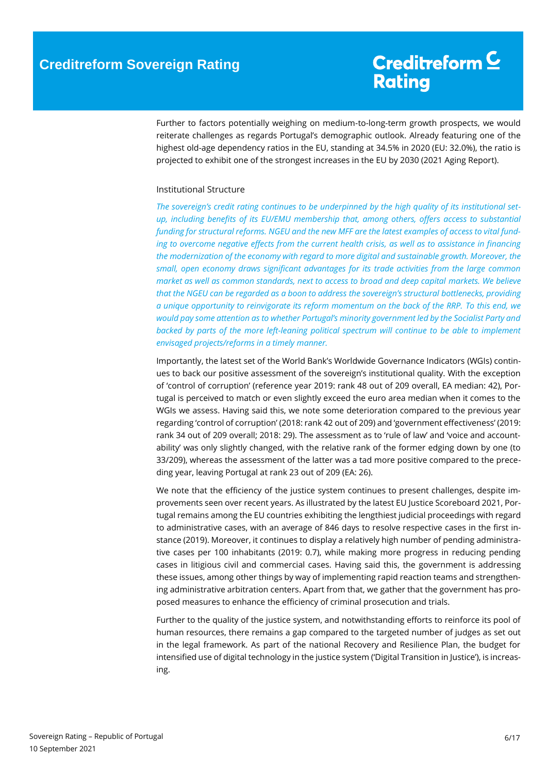Further to factors potentially weighing on medium-to-long-term growth prospects, we would reiterate challenges as regards Portugal's demographic outlook. Already featuring one of the highest old-age dependency ratios in the EU, standing at 34.5% in 2020 (EU: 32.0%), the ratio is projected to exhibit one of the strongest increases in the EU by 2030 (2021 Aging Report).

#### <span id="page-5-0"></span>Institutional Structure

*The sovereign's credit rating continues to be underpinned by the high quality of its institutional setup, including benefits of its EU/EMU membership that, among others, offers access to substantial funding for structural reforms. NGEU and the new MFF are the latest examples of access to vital funding to overcome negative effects from the current health crisis, as well as to assistance in financing the modernization of the economy with regard to more digital and sustainable growth. Moreover, the small, open economy draws significant advantages for its trade activities from the large common market as well as common standards, next to access to broad and deep capital markets. We believe that the NGEU can be regarded as a boon to address the sovereign's structural bottlenecks, providing a unique opportunity to reinvigorate its reform momentum on the back of the RRP. To this end, we would pay some attention as to whether Portugal's minority government led by the Socialist Party and*  backed by parts of the more left-leaning political spectrum will continue to be able to implement *envisaged projects/reforms in a timely manner.*

Importantly, the latest set of the World Bank's Worldwide Governance Indicators (WGIs) continues to back our positive assessment of the sovereign's institutional quality. With the exception of 'control of corruption' (reference year 2019: rank 48 out of 209 overall, EA median: 42), Portugal is perceived to match or even slightly exceed the euro area median when it comes to the WGIs we assess. Having said this, we note some deterioration compared to the previous year regarding 'control of corruption' (2018: rank 42 out of 209) and 'government effectiveness' (2019: rank 34 out of 209 overall; 2018: 29). The assessment as to 'rule of law' and 'voice and accountability' was only slightly changed, with the relative rank of the former edging down by one (to 33/209), whereas the assessment of the latter was a tad more positive compared to the preceding year, leaving Portugal at rank 23 out of 209 (EA: 26).

We note that the efficiency of the justice system continues to present challenges, despite improvements seen over recent years. As illustrated by the latest EU Justice Scoreboard 2021, Portugal remains among the EU countries exhibiting the lengthiest judicial proceedings with regard to administrative cases, with an average of 846 days to resolve respective cases in the first instance (2019). Moreover, it continues to display a relatively high number of pending administrative cases per 100 inhabitants (2019: 0.7), while making more progress in reducing pending cases in litigious civil and commercial cases. Having said this, the government is addressing these issues, among other things by way of implementing rapid reaction teams and strengthening administrative arbitration centers. Apart from that, we gather that the government has proposed measures to enhance the efficiency of criminal prosecution and trials.

Further to the quality of the justice system, and notwithstanding efforts to reinforce its pool of human resources, there remains a gap compared to the targeted number of judges as set out in the legal framework. As part of the national Recovery and Resilience Plan, the budget for intensified use of digital technology in the justice system ('Digital Transition in Justice'), is increasing.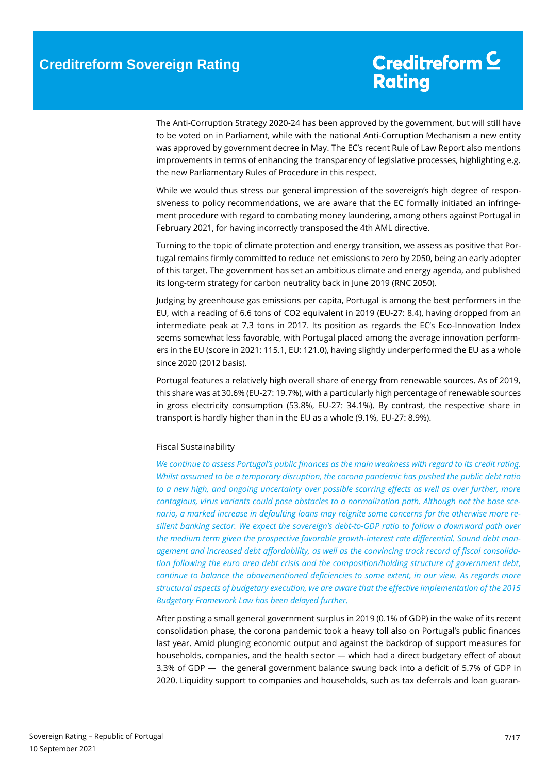The Anti-Corruption Strategy 2020-24 has been approved by the government, but will still have to be voted on in Parliament, while with the national Anti-Corruption Mechanism a new entity was approved by government decree in May. The EC's recent Rule of Law Report also mentions improvements in terms of enhancing the transparency of legislative processes, highlighting e.g. the new Parliamentary Rules of Procedure in this respect.

While we would thus stress our general impression of the sovereign's high degree of responsiveness to policy recommendations, we are aware that the EC formally initiated an infringement procedure with regard to combating money laundering, among others against Portugal in February 2021, for having incorrectly transposed the 4th AML directive.

Turning to the topic of climate protection and energy transition, we assess as positive that Portugal remains firmly committed to reduce net emissions to zero by 2050, being an early adopter of this target. The government has set an ambitious climate and energy agenda, and published its long-term strategy for carbon neutrality back in June 2019 (RNC 2050).

Judging by greenhouse gas emissions per capita, Portugal is among the best performers in the EU, with a reading of 6.6 tons of CO2 equivalent in 2019 (EU-27: 8.4), having dropped from an intermediate peak at 7.3 tons in 2017. Its position as regards the EC's Eco-Innovation Index seems somewhat less favorable, with Portugal placed among the average innovation performers in the EU (score in 2021: 115.1, EU: 121.0), having slightly underperformed the EU as a whole since 2020 (2012 basis).

Portugal features a relatively high overall share of energy from renewable sources. As of 2019, this share was at 30.6% (EU-27: 19.7%), with a particularly high percentage of renewable sources in gross electricity consumption (53.8%, EU-27: 34.1%). By contrast, the respective share in transport is hardly higher than in the EU as a whole (9.1%, EU-27: 8.9%).

#### <span id="page-6-0"></span>Fiscal Sustainability

*We continue to assess Portugal's public finances as the main weakness with regard to its credit rating. Whilst assumed to be a temporary disruption, the corona pandemic has pushed the public debt ratio to a new high, and ongoing uncertainty over possible scarring effects as well as over further, more contagious, virus variants could pose obstacles to a normalization path. Although not the base scenario, a marked increase in defaulting loans may reignite some concerns for the otherwise more resilient banking sector. We expect the sovereign's debt-to-GDP ratio to follow a downward path over the medium term given the prospective favorable growth-interest rate differential. Sound debt management and increased debt affordability, as well as the convincing track record of fiscal consolidation following the euro area debt crisis and the composition/holding structure of government debt, continue to balance the abovementioned deficiencies to some extent, in our view. As regards more structural aspects of budgetary execution, we are aware that the effective implementation of the 2015 Budgetary Framework Law has been delayed further.*

After posting a small general government surplus in 2019 (0.1% of GDP) in the wake of its recent consolidation phase, the corona pandemic took a heavy toll also on Portugal's public finances last year. Amid plunging economic output and against the backdrop of support measures for households, companies, and the health sector — which had a direct budgetary effect of about 3.3% of GDP — the general government balance swung back into a deficit of 5.7% of GDP in 2020. Liquidity support to companies and households, such as tax deferrals and loan guaran-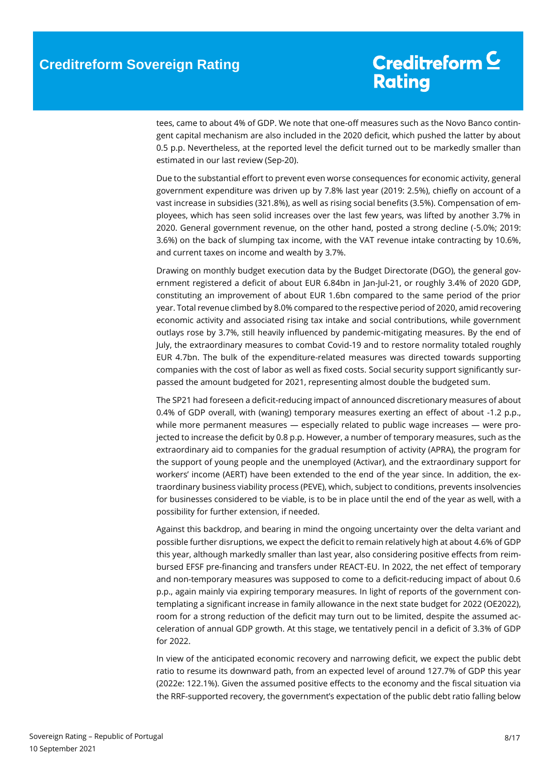tees, came to about 4% of GDP. We note that one-off measures such as the Novo Banco contingent capital mechanism are also included in the 2020 deficit, which pushed the latter by about 0.5 p.p. Nevertheless, at the reported level the deficit turned out to be markedly smaller than estimated in our last review (Sep-20).

Due to the substantial effort to prevent even worse consequences for economic activity, general government expenditure was driven up by 7.8% last year (2019: 2.5%), chiefly on account of a vast increase in subsidies (321.8%), as well as rising social benefits (3.5%). Compensation of employees, which has seen solid increases over the last few years, was lifted by another 3.7% in 2020. General government revenue, on the other hand, posted a strong decline (-5.0%; 2019: 3.6%) on the back of slumping tax income, with the VAT revenue intake contracting by 10.6%, and current taxes on income and wealth by 3.7%.

Drawing on monthly budget execution data by the Budget Directorate (DGO), the general government registered a deficit of about EUR 6.84bn in Jan-Jul-21, or roughly 3.4% of 2020 GDP, constituting an improvement of about EUR 1.6bn compared to the same period of the prior year. Total revenue climbed by 8.0% compared to the respective period of 2020, amid recovering economic activity and associated rising tax intake and social contributions, while government outlays rose by 3.7%, still heavily influenced by pandemic-mitigating measures. By the end of July, the extraordinary measures to combat Covid-19 and to restore normality totaled roughly EUR 4.7bn. The bulk of the expenditure-related measures was directed towards supporting companies with the cost of labor as well as fixed costs. Social security support significantly surpassed the amount budgeted for 2021, representing almost double the budgeted sum.

The SP21 had foreseen a deficit-reducing impact of announced discretionary measures of about 0.4% of GDP overall, with (waning) temporary measures exerting an effect of about -1.2 p.p., while more permanent measures — especially related to public wage increases — were projected to increase the deficit by 0.8 p.p. However, a number of temporary measures, such as the extraordinary aid to companies for the gradual resumption of activity (APRA), the program for the support of young people and the unemployed (Activar), and the extraordinary support for workers' income (AERT) have been extended to the end of the year since. In addition, the extraordinary business viability process (PEVE), which, subject to conditions, prevents insolvencies for businesses considered to be viable, is to be in place until the end of the year as well, with a possibility for further extension, if needed.

Against this backdrop, and bearing in mind the ongoing uncertainty over the delta variant and possible further disruptions, we expect the deficit to remain relatively high at about 4.6% of GDP this year, although markedly smaller than last year, also considering positive effects from reimbursed EFSF pre-financing and transfers under REACT-EU. In 2022, the net effect of temporary and non-temporary measures was supposed to come to a deficit-reducing impact of about 0.6 p.p., again mainly via expiring temporary measures. In light of reports of the government contemplating a significant increase in family allowance in the next state budget for 2022 (OE2022), room for a strong reduction of the deficit may turn out to be limited, despite the assumed acceleration of annual GDP growth. At this stage, we tentatively pencil in a deficit of 3.3% of GDP for 2022.

In view of the anticipated economic recovery and narrowing deficit, we expect the public debt ratio to resume its downward path, from an expected level of around 127.7% of GDP this year (2022e: 122.1%). Given the assumed positive effects to the economy and the fiscal situation via the RRF-supported recovery, the government's expectation of the public debt ratio falling below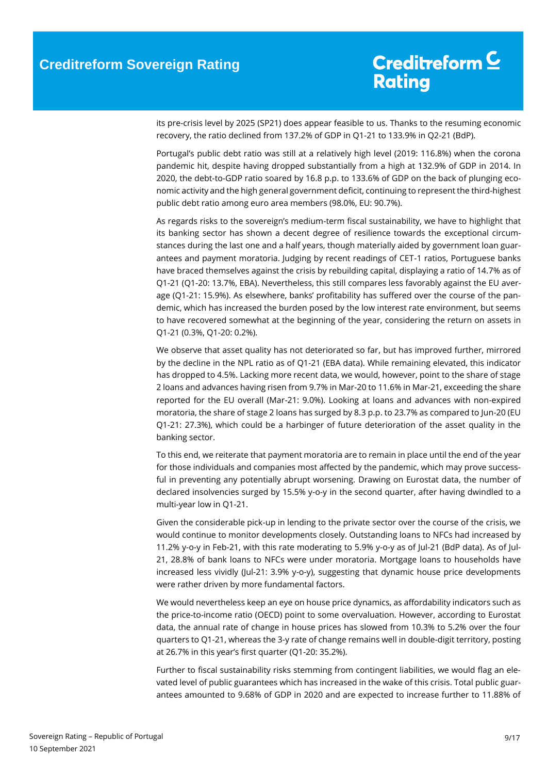its pre-crisis level by 2025 (SP21) does appear feasible to us. Thanks to the resuming economic recovery, the ratio declined from 137.2% of GDP in Q1-21 to 133.9% in Q2-21 (BdP).

Portugal's public debt ratio was still at a relatively high level (2019: 116.8%) when the corona pandemic hit, despite having dropped substantially from a high at 132.9% of GDP in 2014. In 2020, the debt-to-GDP ratio soared by 16.8 p.p. to 133.6% of GDP on the back of plunging economic activity and the high general government deficit, continuing to represent the third-highest public debt ratio among euro area members (98.0%, EU: 90.7%).

As regards risks to the sovereign's medium-term fiscal sustainability, we have to highlight that its banking sector has shown a decent degree of resilience towards the exceptional circumstances during the last one and a half years, though materially aided by government loan guarantees and payment moratoria. Judging by recent readings of CET-1 ratios, Portuguese banks have braced themselves against the crisis by rebuilding capital, displaying a ratio of 14.7% as of Q1-21 (Q1-20: 13.7%, EBA). Nevertheless, this still compares less favorably against the EU average (Q1-21: 15.9%). As elsewhere, banks' profitability has suffered over the course of the pandemic, which has increased the burden posed by the low interest rate environment, but seems to have recovered somewhat at the beginning of the year, considering the return on assets in Q1-21 (0.3%, Q1-20: 0.2%).

We observe that asset quality has not deteriorated so far, but has improved further, mirrored by the decline in the NPL ratio as of Q1-21 (EBA data). While remaining elevated, this indicator has dropped to 4.5%. Lacking more recent data, we would, however, point to the share of stage 2 loans and advances having risen from 9.7% in Mar-20 to 11.6% in Mar-21, exceeding the share reported for the EU overall (Mar-21: 9.0%). Looking at loans and advances with non-expired moratoria, the share of stage 2 loans has surged by 8.3 p.p. to 23.7% as compared to Jun-20 (EU Q1-21: 27.3%), which could be a harbinger of future deterioration of the asset quality in the banking sector.

To this end, we reiterate that payment moratoria are to remain in place until the end of the year for those individuals and companies most affected by the pandemic, which may prove successful in preventing any potentially abrupt worsening. Drawing on Eurostat data, the number of declared insolvencies surged by 15.5% y-o-y in the second quarter, after having dwindled to a multi-year low in Q1-21.

Given the considerable pick-up in lending to the private sector over the course of the crisis, we would continue to monitor developments closely. Outstanding loans to NFCs had increased by 11.2% y-o-y in Feb-21, with this rate moderating to 5.9% y-o-y as of Jul-21 (BdP data). As of Jul-21, 28.8% of bank loans to NFCs were under moratoria. Mortgage loans to households have increased less vividly (Jul-21: 3.9% y-o-y), suggesting that dynamic house price developments were rather driven by more fundamental factors.

We would nevertheless keep an eye on house price dynamics, as affordability indicators such as the price-to-income ratio (OECD) point to some overvaluation. However, according to Eurostat data, the annual rate of change in house prices has slowed from 10.3% to 5.2% over the four quarters to Q1-21, whereas the 3-y rate of change remains well in double-digit territory, posting at 26.7% in this year's first quarter (Q1-20: 35.2%).

Further to fiscal sustainability risks stemming from contingent liabilities, we would flag an elevated level of public guarantees which has increased in the wake of this crisis. Total public guarantees amounted to 9.68% of GDP in 2020 and are expected to increase further to 11.88% of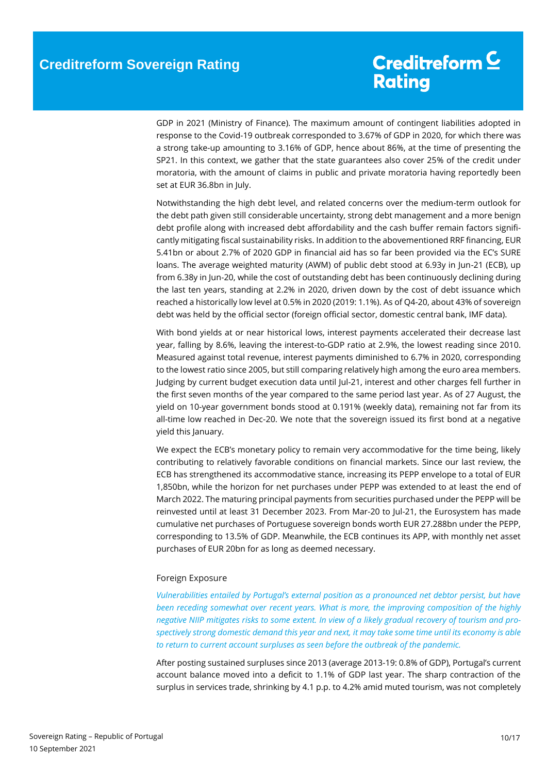GDP in 2021 (Ministry of Finance). The maximum amount of contingent liabilities adopted in response to the Covid-19 outbreak corresponded to 3.67% of GDP in 2020, for which there was a strong take-up amounting to 3.16% of GDP, hence about 86%, at the time of presenting the SP21. In this context, we gather that the state guarantees also cover 25% of the credit under moratoria, with the amount of claims in public and private moratoria having reportedly been set at EUR 36.8bn in July.

Notwithstanding the high debt level, and related concerns over the medium-term outlook for the debt path given still considerable uncertainty, strong debt management and a more benign debt profile along with increased debt affordability and the cash buffer remain factors significantly mitigating fiscal sustainability risks. In addition to the abovementioned RRF financing, EUR 5.41bn or about 2.7% of 2020 GDP in financial aid has so far been provided via the EC's SURE loans. The average weighted maturity (AWM) of public debt stood at 6.93y in Jun-21 (ECB), up from 6.38y in Jun-20, while the cost of outstanding debt has been continuously declining during the last ten years, standing at 2.2% in 2020, driven down by the cost of debt issuance which reached a historically low level at 0.5% in 2020 (2019: 1.1%). As of Q4-20, about 43% of sovereign debt was held by the official sector (foreign official sector, domestic central bank, IMF data).

With bond yields at or near historical lows, interest payments accelerated their decrease last year, falling by 8.6%, leaving the interest-to-GDP ratio at 2.9%, the lowest reading since 2010. Measured against total revenue, interest payments diminished to 6.7% in 2020, corresponding to the lowest ratio since 2005, but still comparing relatively high among the euro area members. Judging by current budget execution data until Jul-21, interest and other charges fell further in the first seven months of the year compared to the same period last year. As of 27 August, the yield on 10-year government bonds stood at 0.191% (weekly data), remaining not far from its all-time low reached in Dec-20. We note that the sovereign issued its first bond at a negative yield this January.

We expect the ECB's monetary policy to remain very accommodative for the time being, likely contributing to relatively favorable conditions on financial markets. Since our last review, the ECB has strengthened its accommodative stance, increasing its PEPP envelope to a total of EUR 1,850bn, while the horizon for net purchases under PEPP was extended to at least the end of March 2022. The maturing principal payments from securities purchased under the PEPP will be reinvested until at least 31 December 2023. From Mar-20 to Jul-21, the Eurosystem has made cumulative net purchases of Portuguese sovereign bonds worth EUR 27.288bn under the PEPP, corresponding to 13.5% of GDP. Meanwhile, the ECB continues its APP, with monthly net asset purchases of EUR 20bn for as long as deemed necessary.

#### <span id="page-9-0"></span>Foreign Exposure

*Vulnerabilities entailed by Portugal's external position as a pronounced net debtor persist, but have been receding somewhat over recent years. What is more, the improving composition of the highly negative NIIP mitigates risks to some extent. In view of a likely gradual recovery of tourism and prospectively strong domestic demand this year and next, it may take some time until its economy is able to return to current account surpluses as seen before the outbreak of the pandemic.*

After posting sustained surpluses since 2013 (average 2013-19: 0.8% of GDP), Portugal's current account balance moved into a deficit to 1.1% of GDP last year. The sharp contraction of the surplus in services trade, shrinking by 4.1 p.p. to 4.2% amid muted tourism, was not completely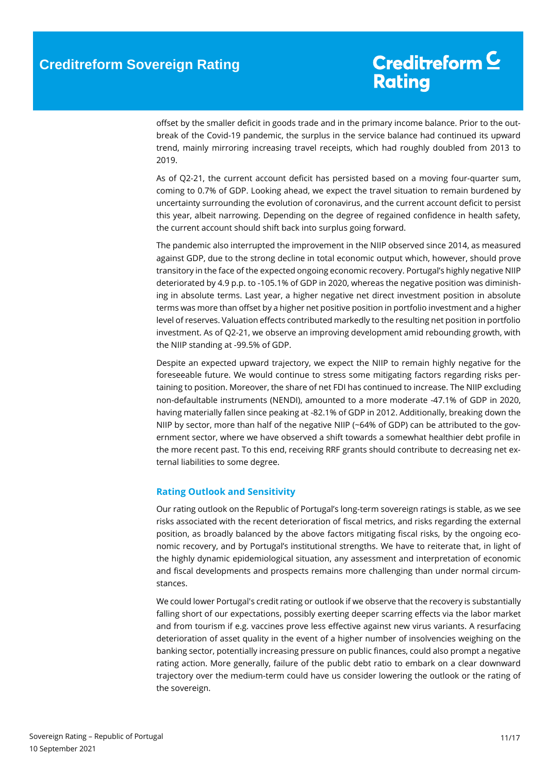offset by the smaller deficit in goods trade and in the primary income balance. Prior to the outbreak of the Covid-19 pandemic, the surplus in the service balance had continued its upward trend, mainly mirroring increasing travel receipts, which had roughly doubled from 2013 to 2019.

As of Q2-21, the current account deficit has persisted based on a moving four-quarter sum, coming to 0.7% of GDP. Looking ahead, we expect the travel situation to remain burdened by uncertainty surrounding the evolution of coronavirus, and the current account deficit to persist this year, albeit narrowing. Depending on the degree of regained confidence in health safety, the current account should shift back into surplus going forward.

The pandemic also interrupted the improvement in the NIIP observed since 2014, as measured against GDP, due to the strong decline in total economic output which, however, should prove transitory in the face of the expected ongoing economic recovery. Portugal's highly negative NIIP deteriorated by 4.9 p.p. to -105.1% of GDP in 2020, whereas the negative position was diminishing in absolute terms. Last year, a higher negative net direct investment position in absolute terms was more than offset by a higher net positive position in portfolio investment and a higher level of reserves. Valuation effects contributed markedly to the resulting net position in portfolio investment. As of Q2-21, we observe an improving development amid rebounding growth, with the NIIP standing at -99.5% of GDP.

Despite an expected upward trajectory, we expect the NIIP to remain highly negative for the foreseeable future. We would continue to stress some mitigating factors regarding risks pertaining to position. Moreover, the share of net FDI has continued to increase. The NIIP excluding non-defaultable instruments (NENDI), amounted to a more moderate -47.1% of GDP in 2020, having materially fallen since peaking at -82.1% of GDP in 2012. Additionally, breaking down the NIIP by sector, more than half of the negative NIIP (~64% of GDP) can be attributed to the government sector, where we have observed a shift towards a somewhat healthier debt profile in the more recent past. To this end, receiving RRF grants should contribute to decreasing net external liabilities to some degree.

#### <span id="page-10-0"></span>**Rating Outlook and Sensitivity**

Our rating outlook on the Republic of Portugal's long-term sovereign ratings is stable, as we see risks associated with the recent deterioration of fiscal metrics, and risks regarding the external position, as broadly balanced by the above factors mitigating fiscal risks, by the ongoing economic recovery, and by Portugal's institutional strengths. We have to reiterate that, in light of the highly dynamic epidemiological situation, any assessment and interpretation of economic and fiscal developments and prospects remains more challenging than under normal circumstances.

We could lower Portugal's credit rating or outlook if we observe that the recovery is substantially falling short of our expectations, possibly exerting deeper scarring effects via the labor market and from tourism if e.g. vaccines prove less effective against new virus variants. A resurfacing deterioration of asset quality in the event of a higher number of insolvencies weighing on the banking sector, potentially increasing pressure on public finances, could also prompt a negative rating action. More generally, failure of the public debt ratio to embark on a clear downward trajectory over the medium-term could have us consider lowering the outlook or the rating of the sovereign.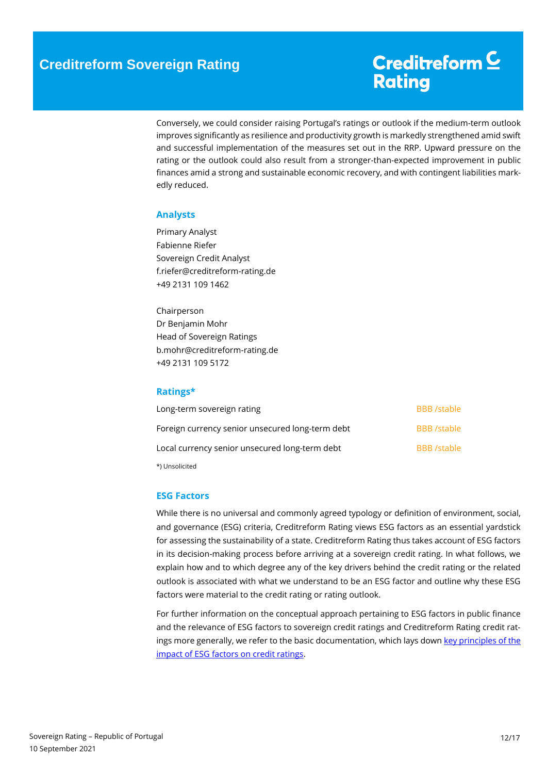Conversely, we could consider raising Portugal's ratings or outlook if the medium-term outlook improves significantly as resilience and productivity growth is markedly strengthened amid swift and successful implementation of the measures set out in the RRP. Upward pressure on the rating or the outlook could also result from a stronger-than-expected improvement in public finances amid a strong and sustainable economic recovery, and with contingent liabilities markedly reduced.

#### <span id="page-11-0"></span>**Analysts**

Primary Analyst Fabienne Riefer Sovereign Credit Analyst f.riefer@creditreform-rating.de +49 2131 109 1462

Chairperson Dr Benjamin Mohr Head of Sovereign Ratings b.mohr@creditreform-rating.de +49 2131 109 5172

### <span id="page-11-1"></span>**Ratings\***

| Long-term sovereign rating                       | <b>BBB</b> /stable |
|--------------------------------------------------|--------------------|
| Foreign currency senior unsecured long-term debt | <b>BBB</b> /stable |
| Local currency senior unsecured long-term debt   | <b>BBB</b> /stable |
| *) Unsolicited                                   |                    |

#### <span id="page-11-2"></span>**ESG Factors**

While there is no universal and commonly agreed typology or definition of environment, social, and governance (ESG) criteria, Creditreform Rating views ESG factors as an essential yardstick for assessing the sustainability of a state. Creditreform Rating thus takes account of ESG factors in its decision-making process before arriving at a sovereign credit rating. In what follows, we explain how and to which degree any of the key drivers behind the credit rating or the related outlook is associated with what we understand to be an ESG factor and outline why these ESG factors were material to the credit rating or rating outlook.

For further information on the conceptual approach pertaining to ESG factors in public finance and the relevance of ESG factors to sovereign credit ratings and Creditreform Rating credit ratings more generally, we refer to the basic documentation, which lays down key principles of the [impact of ESG factors on credit ratings.](https://www.creditreform-rating.de/en/about-us/regulatory-requirements.html?file=files/content/downloads/Externes%20Rating/Regulatorische%20Anforderungen/EN/Ratingmethodiken%20EN/The%20Impact%20of%20ESG%20Factors%20on%20Credit%20Ratings.pdf)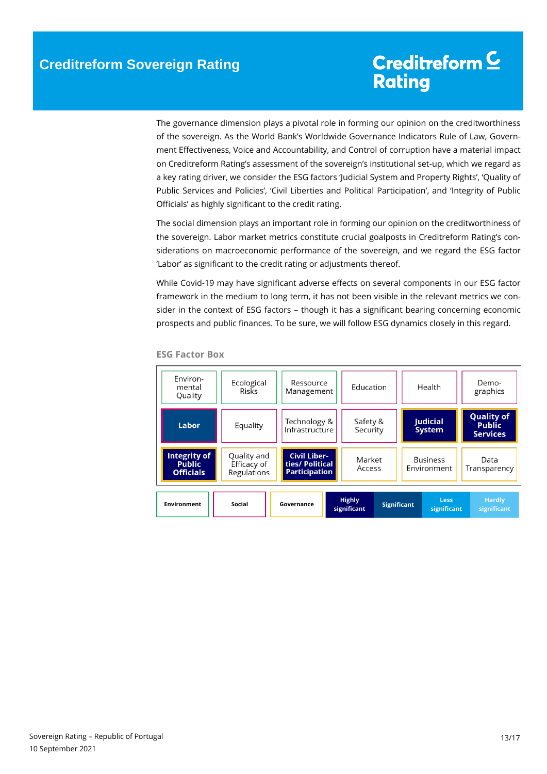The governance dimension plays a pivotal role in forming our opinion on the creditworthiness of the sovereign. As the World Bank's Worldwide Governance Indicators Rule of Law, Government Effectiveness, Voice and Accountability, and Control of corruption have a material impact on Creditreform Rating's assessment of the sovereign's institutional set-up, which we regard as a key rating driver, we consider the ESG factors 'Judicial System and Property Rights', 'Quality of Public Services and Policies', 'Civil Liberties and Political Participation', and 'Integrity of Public Officials' as highly significant to the credit rating.

The social dimension plays an important role in forming our opinion on the creditworthiness of the sovereign. Labor market metrics constitute crucial goalposts in Creditreform Rating's considerations on macroeconomic performance of the sovereign, and we regard the ESG factor 'Labor' as significant to the credit rating or adjustments thereof.

While Covid-19 may have significant adverse effects on several components in our ESG factor framework in the medium to long term, it has not been visible in the relevant metrics we consider in the context of ESG factors – though it has a significant bearing concerning economic prospects and public finances. To be sure, we will follow ESG dynamics closely in this regard.

| Environ-<br>mental<br>Quality                     | Ecological<br><b>Risks</b>                | Ressource<br>Management                                        |                              | Education<br>Health  |  |                                  |  | Demo-<br>graphics                                     |
|---------------------------------------------------|-------------------------------------------|----------------------------------------------------------------|------------------------------|----------------------|--|----------------------------------|--|-------------------------------------------------------|
| Labor                                             | Equality                                  | Technology &<br>Infrastructure                                 |                              | Safety &<br>Security |  | <b>Judicial</b><br><b>System</b> |  | <b>Quality of</b><br><b>Public</b><br><b>Services</b> |
| Integrity of<br><b>Public</b><br><b>Officials</b> | Quality and<br>Efficacy of<br>Regulations | <b>Civil Liber-</b><br>ties/ Political<br><b>Participation</b> | Market<br>Access             |                      |  | <b>Business</b><br>Environment   |  | Data<br>Transparency                                  |
| <b>Environment</b>                                | <b>Social</b>                             | Governance                                                     | <b>Highly</b><br>significant | <b>Significant</b>   |  | <b>Less</b><br>significant       |  | <b>Hardly</b><br>significant                          |

#### **ESG Factor Box**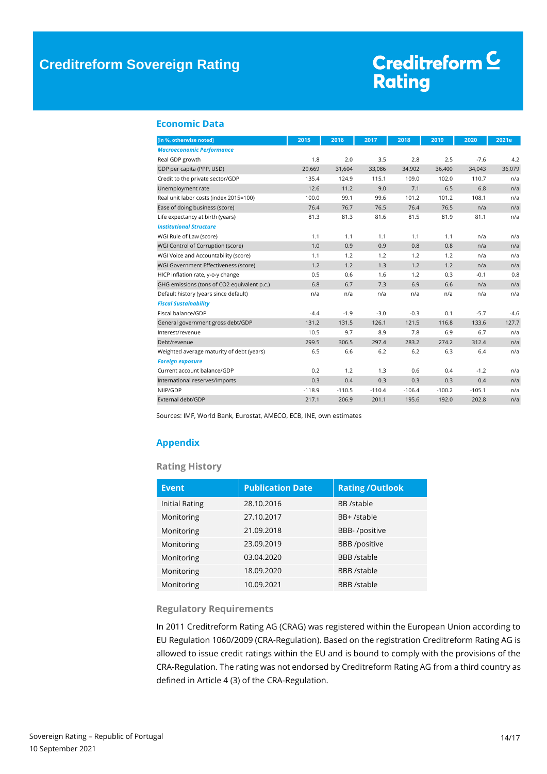### **Creditreform Sovereign Rating**

# Creditreform<sup>C</sup> Rating

#### <span id="page-13-0"></span>**Economic Data**

| [in %, otherwise noted]                     | 2015     | 2016     | 2017     | 2018     | 2019     | 2020     | 2021e  |
|---------------------------------------------|----------|----------|----------|----------|----------|----------|--------|
| <b>Macroeconomic Performance</b>            |          |          |          |          |          |          |        |
| Real GDP growth                             | 1.8      | 2.0      | 3.5      | 2.8      | 2.5      | $-7.6$   | 4.2    |
| GDP per capita (PPP, USD)                   | 29,669   | 31,604   | 33,086   | 34,902   | 36,400   | 34,043   | 36,079 |
| Credit to the private sector/GDP            | 135.4    | 124.9    | 115.1    | 109.0    | 102.0    | 110.7    | n/a    |
| Unemployment rate                           | 12.6     | 11.2     | 9.0      | 7.1      | 6.5      | 6.8      | n/a    |
| Real unit labor costs (index 2015=100)      | 100.0    | 99.1     | 99.6     | 101.2    | 101.2    | 108.1    | n/a    |
| Ease of doing business (score)              | 76.4     | 76.7     | 76.5     | 76.4     | 76.5     | n/a      | n/a    |
| Life expectancy at birth (years)            | 81.3     | 81.3     | 81.6     | 81.5     | 81.9     | 81.1     | n/a    |
| <b>Institutional Structure</b>              |          |          |          |          |          |          |        |
| WGI Rule of Law (score)                     | 1.1      | 1.1      | 1.1      | 1.1      | 1.1      | n/a      | n/a    |
| WGI Control of Corruption (score)           | 1.0      | 0.9      | 0.9      | 0.8      | 0.8      | n/a      | n/a    |
| WGI Voice and Accountability (score)        | 1.1      | 1.2      | 1.2      | 1.2      | 1.2      | n/a      | n/a    |
| WGI Government Effectiveness (score)        | 1.2      | 1.2      | 1.3      | 1.2      | 1.2      | n/a      | n/a    |
| HICP inflation rate, y-o-y change           | 0.5      | 0.6      | 1.6      | 1.2      | 0.3      | $-0.1$   | 0.8    |
| GHG emissions (tons of CO2 equivalent p.c.) | 6.8      | 6.7      | 7.3      | 6.9      | 6.6      | n/a      | n/a    |
| Default history (years since default)       | n/a      | n/a      | n/a      | n/a      | n/a      | n/a      | n/a    |
| <b>Fiscal Sustainability</b>                |          |          |          |          |          |          |        |
| Fiscal balance/GDP                          | $-4.4$   | $-1.9$   | $-3.0$   | $-0.3$   | 0.1      | $-5.7$   | $-4.6$ |
| General government gross debt/GDP           | 131.2    | 131.5    | 126.1    | 121.5    | 116.8    | 133.6    | 127.7  |
| Interest/revenue                            | 10.5     | 9.7      | 8.9      | 7.8      | 6.9      | 6.7      | n/a    |
| Debt/revenue                                | 299.5    | 306.5    | 297.4    | 283.2    | 274.2    | 312.4    | n/a    |
| Weighted average maturity of debt (years)   | 6.5      | 6.6      | 6.2      | 6.2      | 6.3      | 6.4      | n/a    |
| <b>Foreign exposure</b>                     |          |          |          |          |          |          |        |
| Current account balance/GDP                 | 0.2      | 1.2      | 1.3      | 0.6      | 0.4      | $-1.2$   | n/a    |
| International reserves/imports              | 0.3      | 0.4      | 0.3      | 0.3      | 0.3      | 0.4      | n/a    |
| NIIP/GDP                                    | $-118.9$ | $-110.5$ | $-110.4$ | $-106.4$ | $-100.2$ | $-105.1$ | n/a    |
| External debt/GDP                           | 217.1    | 206.9    | 201.1    | 195.6    | 192.0    | 202.8    | n/a    |

Sources: IMF, World Bank, Eurostat, AMECO, ECB, INE, own estimates

### <span id="page-13-1"></span>**Appendix**

#### **Rating History**

| <b>Event</b>          | <b>Publication Date</b> | <b>Rating /Outlook</b> |
|-----------------------|-------------------------|------------------------|
| <b>Initial Rating</b> | 28.10.2016              | <b>BB</b> /stable      |
| Monitoring            | 27.10.2017              | BB+/stable             |
| Monitoring            | 21.09.2018              | BBB-/positive          |
| Monitoring            | 23.09.2019              | <b>BBB</b> /positive   |
| Monitoring            | 03.04.2020              | <b>BBB</b> /stable     |
| Monitoring            | 18.09.2020              | <b>BBB</b> /stable     |
| Monitoring            | 10.09.2021              | <b>BBB</b> /stable     |

#### **Regulatory Requirements**

In 2011 Creditreform Rating AG (CRAG) was registered within the European Union according to EU Regulation 1060/2009 (CRA-Regulation). Based on the registration Creditreform Rating AG is allowed to issue credit ratings within the EU and is bound to comply with the provisions of the CRA-Regulation. The rating was not endorsed by Creditreform Rating AG from a third country as defined in Article 4 (3) of the CRA-Regulation.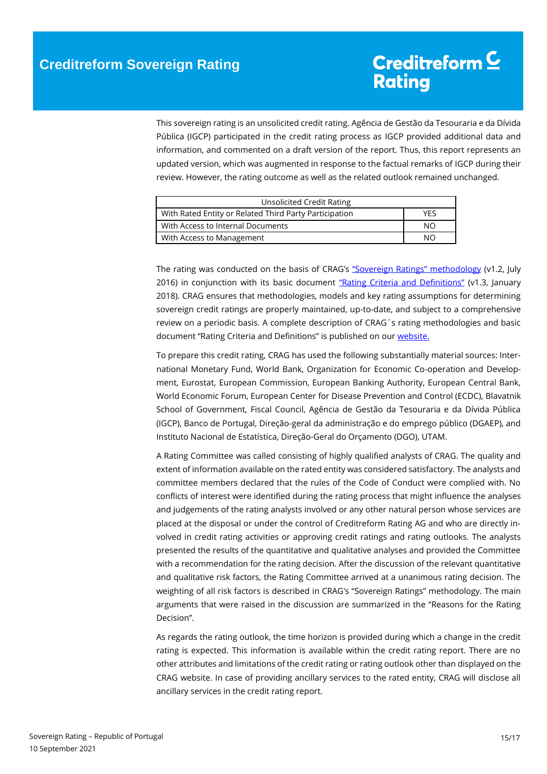This sovereign rating is an unsolicited credit rating. Agência de Gestão da Tesouraria e da Dívida Pública (IGCP) participated in the credit rating process as IGCP provided additional data and information, and commented on a draft version of the report. Thus, this report represents an updated version, which was augmented in response to the factual remarks of IGCP during their review. However, the rating outcome as well as the related outlook remained unchanged.

| Unsolicited Credit Rating                              |     |  |  |  |
|--------------------------------------------------------|-----|--|--|--|
| With Rated Entity or Related Third Party Participation | YFS |  |  |  |
| With Access to Internal Documents                      | NΟ  |  |  |  |
| With Access to Management                              | NΟ  |  |  |  |

The rating was conducted on the basis of CRAG's ["Sovereign Ratings" methodology](https://www.creditreform-rating.de/en/about-us/regulatory-requirements.html?file=files/content/downloads/Externes%20Rating/Regulatorische%20Anforderungen/EN/Ratingmethodiken%20EN/Rating%20Methodology%20Sovereign%20Ratings.pdf) (v1.2, July 2016) in conjunction with its basic document ["Rating Criteria and Definitions"](https://www.creditreform-rating.de/en/about-us/regulatory-requirements.html?file=files/content/downloads/Externes%20Rating/Regulatorische%20Anforderungen/EN/Ratingmethodiken%20EN/CRAG%20Rating%20Criteria%20and%20Definitions.pdf) (v1.3, January 2018). CRAG ensures that methodologies, models and key rating assumptions for determining sovereign credit ratings are properly maintained, up-to-date, and subject to a comprehensive review on a periodic basis. A complete description of CRAG´s rating methodologies and basic document "Rating Criteria and Definitions" is published on our [website.](https://www.creditreform-rating.de/en/about-us/regulatory-requirements.html)

To prepare this credit rating, CRAG has used the following substantially material sources: International Monetary Fund, World Bank, Organization for Economic Co-operation and Development, Eurostat, European Commission, European Banking Authority, European Central Bank, World Economic Forum, European Center for Disease Prevention and Control (ECDC), Blavatnik School of Government, Fiscal Council, Agência de Gestão da Tesouraria e da Dívida Pública (IGCP), Banco de Portugal, Direção-geral da administração e do emprego público (DGAEP), and Instituto Nacional de Estatística, Direção-Geral do Orçamento (DGO), UTAM.

A Rating Committee was called consisting of highly qualified analysts of CRAG. The quality and extent of information available on the rated entity was considered satisfactory. The analysts and committee members declared that the rules of the Code of Conduct were complied with. No conflicts of interest were identified during the rating process that might influence the analyses and judgements of the rating analysts involved or any other natural person whose services are placed at the disposal or under the control of Creditreform Rating AG and who are directly involved in credit rating activities or approving credit ratings and rating outlooks. The analysts presented the results of the quantitative and qualitative analyses and provided the Committee with a recommendation for the rating decision. After the discussion of the relevant quantitative and qualitative risk factors, the Rating Committee arrived at a unanimous rating decision. The weighting of all risk factors is described in CRAG's "Sovereign Ratings" methodology. The main arguments that were raised in the discussion are summarized in the "Reasons for the Rating Decision".

As regards the rating outlook, the time horizon is provided during which a change in the credit rating is expected. This information is available within the credit rating report. There are no other attributes and limitations of the credit rating or rating outlook other than displayed on the CRAG website. In case of providing ancillary services to the rated entity, CRAG will disclose all ancillary services in the credit rating report.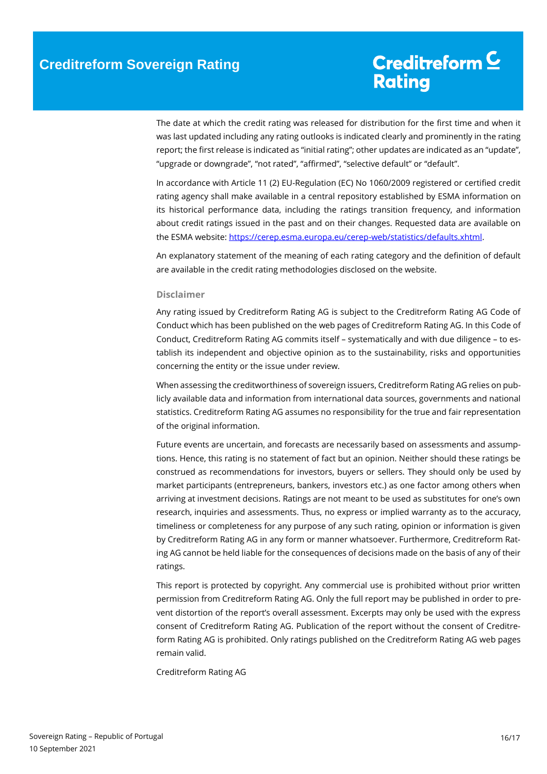The date at which the credit rating was released for distribution for the first time and when it was last updated including any rating outlooks is indicated clearly and prominently in the rating report; the first release is indicated as "initial rating"; other updates are indicated as an "update", "upgrade or downgrade", "not rated", "affirmed", "selective default" or "default".

In accordance with Article 11 (2) EU-Regulation (EC) No 1060/2009 registered or certified credit rating agency shall make available in a central repository established by ESMA information on its historical performance data, including the ratings transition frequency, and information about credit ratings issued in the past and on their changes. Requested data are available on the ESMA website[: https://cerep.esma.europa.eu/cerep-web/statistics/defaults.xhtml.](https://cerep.esma.europa.eu/cerep-web/statistics/defaults.xhtml)

An explanatory statement of the meaning of each rating category and the definition of default are available in the credit rating methodologies disclosed on the website.

#### **Disclaimer**

Any rating issued by Creditreform Rating AG is subject to the Creditreform Rating AG Code of Conduct which has been published on the web pages of Creditreform Rating AG. In this Code of Conduct, Creditreform Rating AG commits itself – systematically and with due diligence – to establish its independent and objective opinion as to the sustainability, risks and opportunities concerning the entity or the issue under review.

When assessing the creditworthiness of sovereign issuers, Creditreform Rating AG relies on publicly available data and information from international data sources, governments and national statistics. Creditreform Rating AG assumes no responsibility for the true and fair representation of the original information.

Future events are uncertain, and forecasts are necessarily based on assessments and assumptions. Hence, this rating is no statement of fact but an opinion. Neither should these ratings be construed as recommendations for investors, buyers or sellers. They should only be used by market participants (entrepreneurs, bankers, investors etc.) as one factor among others when arriving at investment decisions. Ratings are not meant to be used as substitutes for one's own research, inquiries and assessments. Thus, no express or implied warranty as to the accuracy, timeliness or completeness for any purpose of any such rating, opinion or information is given by Creditreform Rating AG in any form or manner whatsoever. Furthermore, Creditreform Rating AG cannot be held liable for the consequences of decisions made on the basis of any of their ratings.

This report is protected by copyright. Any commercial use is prohibited without prior written permission from Creditreform Rating AG. Only the full report may be published in order to prevent distortion of the report's overall assessment. Excerpts may only be used with the express consent of Creditreform Rating AG. Publication of the report without the consent of Creditreform Rating AG is prohibited. Only ratings published on the Creditreform Rating AG web pages remain valid.

Creditreform Rating AG